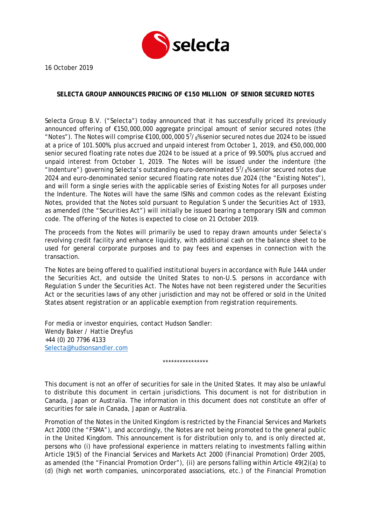

16 October 2019

## **SELECTA GROUP ANNOUNCES PRICING OF €150 MILLION OF SENIOR SECURED NOTES**

Selecta Group B.V. ("Selecta") today announced that it has successfully priced its previously announced offering of €150,000,000 aggregate principal amount of senior secured notes (the "Notes"). The Notes will comprise  $\epsilon$ 100,000,000 5<sup>7</sup>/<sub>8</sub>% senior secured notes due 2024 to be issued at a price of 101.500%, plus accrued and unpaid interest from October 1, 2019, and €50,000,000 senior secured floating rate notes due 2024 to be issued at a price of 99.500%, plus accrued and unpaid interest from October 1, 2019. The Notes will be issued under the indenture (the "Indenture") governing Selecta's outstanding euro-denominated  $5\frac{7}{8}$  senior secured notes due 2024 and euro-denominated senior secured floating rate notes due 2024 (the "Existing Notes"), and will form a single series with the applicable series of Existing Notes for all purposes under the Indenture. The Notes will have the same ISINs and common codes as the relevant Existing Notes, provided that the Notes sold pursuant to Regulation S under the Securities Act of 1933, as amended (the "Securities Act") will initially be issued bearing a temporary ISIN and common code. The offering of the Notes is expected to close on 21 October 2019.

The proceeds from the Notes will primarily be used to repay drawn amounts under Selecta's revolving credit facility and enhance liquidity, with additional cash on the balance sheet to be used for general corporate purposes and to pay fees and expenses in connection with the transaction.

The Notes are being offered to qualified institutional buyers in accordance with Rule 144A under the Securities Act, and outside the United States to non-U.S. persons in accordance with Regulation S under the Securities Act. The Notes have not been registered under the Securities Act or the securities laws of any other jurisdiction and may not be offered or sold in the United States absent registration or an applicable exemption from registration requirements.

For media or investor enquiries, contact Hudson Sandler: Wendy Baker / Hattie Dreyfus +44 (0) 20 7796 4133 [Selecta@hudsonsandler.com](mailto:Selecta@hudsonsandler.com)

\*\*\*\*\*\*\*\*\*\*\*\*\*\*\*\*

This document is not an offer of securities for sale in the United States. It may also be unlawful to distribute this document in certain jurisdictions. This document is not for distribution in Canada, Japan or Australia. The information in this document does not constitute an offer of securities for sale in Canada, Japan or Australia.

Promotion of the Notes in the United Kingdom is restricted by the Financial Services and Markets Act 2000 (the "FSMA"), and accordingly, the Notes are not being promoted to the general public in the United Kingdom. This announcement is for distribution only to, and is only directed at, persons who (i) have professional experience in matters relating to investments falling within Article 19(5) of the Financial Services and Markets Act 2000 (Financial Promotion) Order 2005, as amended (the "Financial Promotion Order"), (ii) are persons falling within Article 49(2)(a) to (d) (high net worth companies, unincorporated associations, etc.) of the Financial Promotion